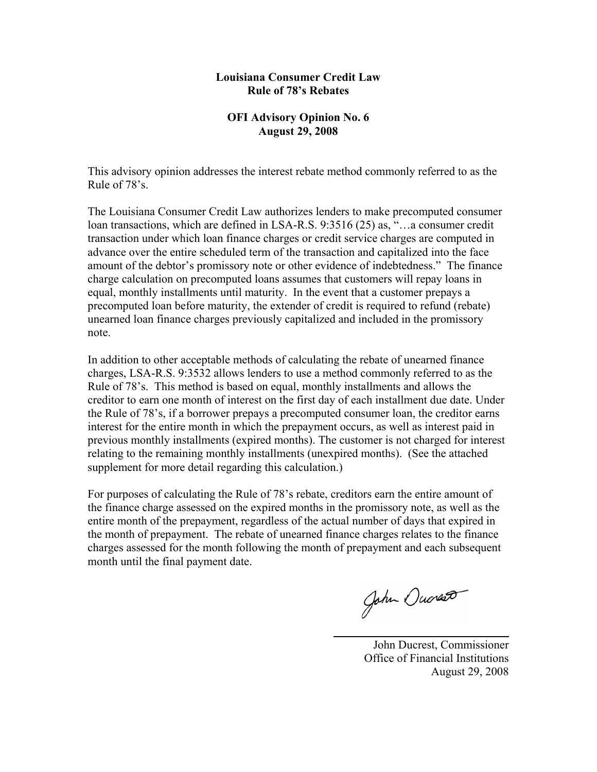#### **Louisiana Consumer Credit Law Rule of 78's Rebates**

#### **OFI Advisory Opinion No. 6 August 29, 2008**

This advisory opinion addresses the interest rebate method commonly referred to as the Rule of 78's.

The Louisiana Consumer Credit Law authorizes lenders to make precomputed consumer loan transactions, which are defined in LSA-R.S. 9:3516 (25) as, "…a consumer credit transaction under which loan finance charges or credit service charges are computed in advance over the entire scheduled term of the transaction and capitalized into the face amount of the debtor's promissory note or other evidence of indebtedness." The finance charge calculation on precomputed loans assumes that customers will repay loans in equal, monthly installments until maturity. In the event that a customer prepays a precomputed loan before maturity, the extender of credit is required to refund (rebate) unearned loan finance charges previously capitalized and included in the promissory note.

In addition to other acceptable methods of calculating the rebate of unearned finance charges, LSA-R.S. 9:3532 allows lenders to use a method commonly referred to as the Rule of 78's. This method is based on equal, monthly installments and allows the creditor to earn one month of interest on the first day of each installment due date. Under the Rule of 78's, if a borrower prepays a precomputed consumer loan, the creditor earns interest for the entire month in which the prepayment occurs, as well as interest paid in previous monthly installments (expired months). The customer is not charged for interest relating to the remaining monthly installments (unexpired months). (See the attached supplement for more detail regarding this calculation.)

For purposes of calculating the Rule of 78's rebate, creditors earn the entire amount of the finance charge assessed on the expired months in the promissory note, as well as the entire month of the prepayment, regardless of the actual number of days that expired in the month of prepayment. The rebate of unearned finance charges relates to the finance charges assessed for the month following the month of prepayment and each subsequent month until the final payment date.

John Oucres

 John Ducrest, Commissioner Office of Financial Institutions August 29, 2008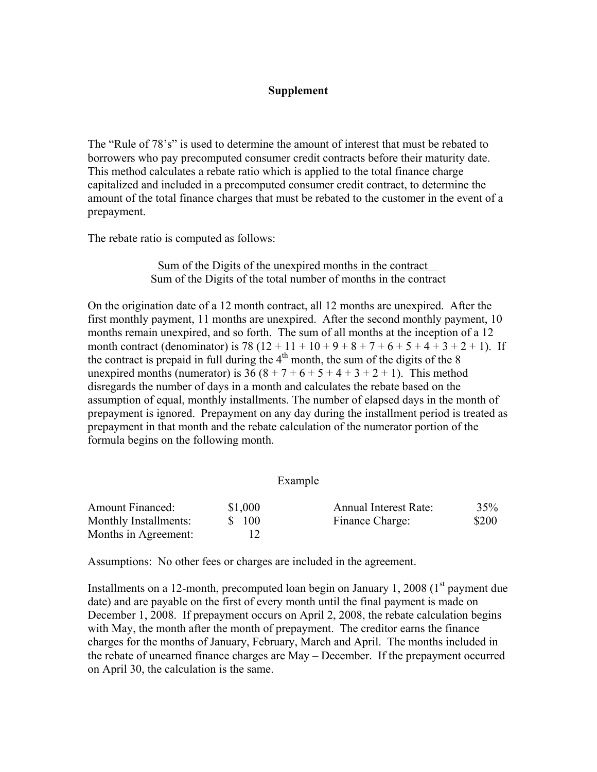## **Supplement**

The "Rule of 78's" is used to determine the amount of interest that must be rebated to borrowers who pay precomputed consumer credit contracts before their maturity date. This method calculates a rebate ratio which is applied to the total finance charge capitalized and included in a precomputed consumer credit contract, to determine the amount of the total finance charges that must be rebated to the customer in the event of a prepayment.

The rebate ratio is computed as follows:

## Sum of the Digits of the unexpired months in the contract Sum of the Digits of the total number of months in the contract

On the origination date of a 12 month contract, all 12 months are unexpired. After the first monthly payment, 11 months are unexpired. After the second monthly payment, 10 months remain unexpired, and so forth. The sum of all months at the inception of a 12 month contract (denominator) is 78 ( $12 + 11 + 10 + 9 + 8 + 7 + 6 + 5 + 4 + 3 + 2 + 1$ ). If the contract is prepaid in full during the  $4<sup>th</sup>$  month, the sum of the digits of the 8 unexpired months (numerator) is  $36(8+7+6+5+4+3+2+1)$ . This method disregards the number of days in a month and calculates the rebate based on the assumption of equal, monthly installments. The number of elapsed days in the month of prepayment is ignored. Prepayment on any day during the installment period is treated as prepayment in that month and the rebate calculation of the numerator portion of the formula begins on the following month.

## Example

| <b>Amount Financed:</b> | \$1,000 | Annual Interest Rate: | 35%   |
|-------------------------|---------|-----------------------|-------|
| Monthly Installments:   | \$ 100  | Finance Charge:       | \$200 |
| Months in Agreement:    |         |                       |       |

Assumptions: No other fees or charges are included in the agreement.

Installments on a 12-month, precomputed loan begin on January 1, 2008 ( $1<sup>st</sup>$  payment due date) and are payable on the first of every month until the final payment is made on December 1, 2008. If prepayment occurs on April 2, 2008, the rebate calculation begins with May, the month after the month of prepayment. The creditor earns the finance charges for the months of January, February, March and April. The months included in the rebate of unearned finance charges are May – December. If the prepayment occurred on April 30, the calculation is the same.